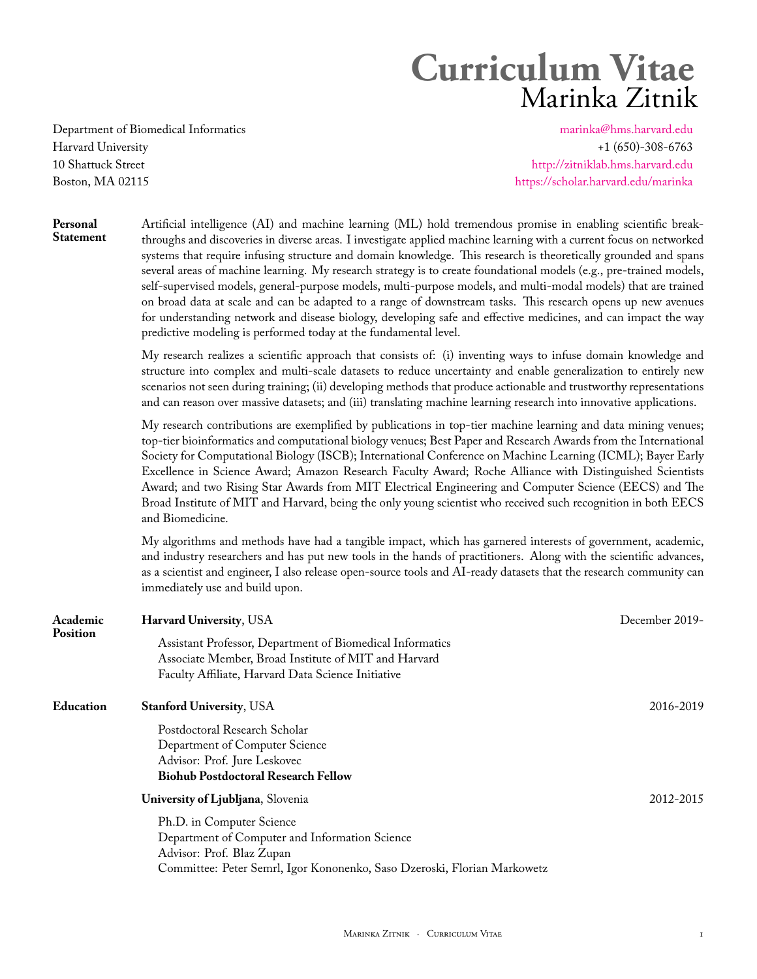# **Curriculum Vitae** Marinka Zitnik

Department of Biomedical Informatics [marinka@hms.harvard.edu](mailto:marinka@hms.harvard.edu) Harvard University +1 (650)-308-6763 10 Shattuck Street <http://zitniklab.hms.harvard.edu> Boston, MA 02115 <https://scholar.harvard.edu/marinka>

**Personal** Artificial intelligence (AI) and machine learning (ML) hold tremendous promise in enabling scientific break-**Statement** throughs and discoveries in diverse areas. I investigate applied machine learning with a current focus on networked systems that require infusing structure and domain knowledge. This research is theoretically grounded and spans several areas of machine learning. My research strategy is to create foundational models (e.g., pre-trained models, self-supervised models, general-purpose models, multi-purpose models, and multi-modal models) that are trained on broad data at scale and can be adapted to a range of downstream tasks. This research opens up new avenues for understanding network and disease biology, developing safe and effective medicines, and can impact the way predictive modeling is performed today at the fundamental level.

> My research realizes a scientific approach that consists of: (i) inventing ways to infuse domain knowledge and structure into complex and multi-scale datasets to reduce uncertainty and enable generalization to entirely new scenarios not seen during training; (ii) developing methods that produce actionable and trustworthy representations and can reason over massive datasets; and (iii) translating machine learning research into innovative applications.

> My research contributions are exemplified by publications in top-tier machine learning and data mining venues; top-tier bioinformatics and computational biology venues; Best Paper and Research Awards from the International Society for Computational Biology (ISCB); International Conference on Machine Learning (ICML); Bayer Early Excellence in Science Award; Amazon Research Faculty Award; Roche Alliance with Distinguished Scientists Award; and two Rising Star Awards from MIT Electrical Engineering and Computer Science (EECS) and The Broad Institute of MIT and Harvard, being the only young scientist who received such recognition in both EECS and Biomedicine.

> My algorithms and methods have had a tangible impact, which has garnered interests of government, academic, and industry researchers and has put new tools in the hands of practitioners. Along with the scientific advances, as a scientist and engineer, I also release open-source tools and AI-ready datasets that the research community can immediately use and build upon.

| Academic        | <b>Harvard University, USA</b>                                                                                                                                                       | December 2019- |  |  |
|-----------------|--------------------------------------------------------------------------------------------------------------------------------------------------------------------------------------|----------------|--|--|
| <b>Position</b> | Assistant Professor, Department of Biomedical Informatics<br>Associate Member, Broad Institute of MIT and Harvard<br>Faculty Affiliate, Harvard Data Science Initiative              |                |  |  |
| Education       | <b>Stanford University, USA</b>                                                                                                                                                      | 2016-2019      |  |  |
|                 | Postdoctoral Research Scholar<br>Department of Computer Science<br>Advisor: Prof. Jure Leskovec<br><b>Biohub Postdoctoral Research Fellow</b>                                        |                |  |  |
|                 | University of Ljubljana, Slovenia                                                                                                                                                    | 2012-2015      |  |  |
|                 | Ph.D. in Computer Science<br>Department of Computer and Information Science<br>Advisor: Prof. Blaz Zupan<br>Committee: Peter Semrl, Igor Kononenko, Saso Dzeroski, Florian Markowetz |                |  |  |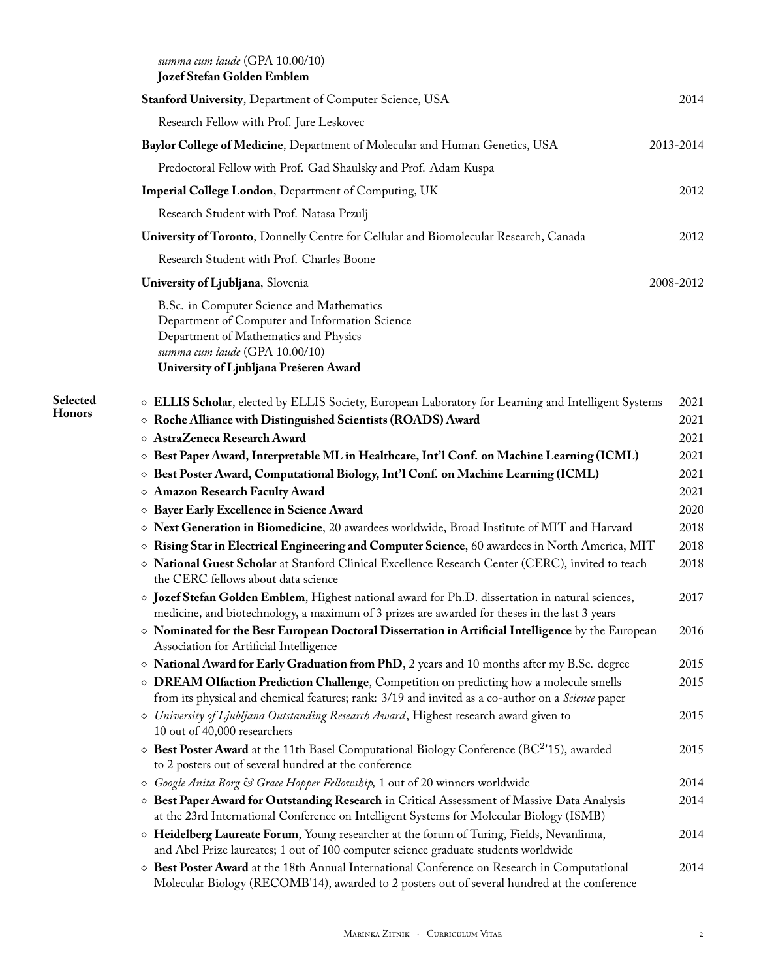| Stanford University, Department of Computer Science, USA                                                                                                                                                         | 2014         |
|------------------------------------------------------------------------------------------------------------------------------------------------------------------------------------------------------------------|--------------|
| Research Fellow with Prof. Jure Leskovec                                                                                                                                                                         |              |
|                                                                                                                                                                                                                  |              |
| Baylor College of Medicine, Department of Molecular and Human Genetics, USA                                                                                                                                      | 2013-2014    |
| Predoctoral Fellow with Prof. Gad Shaulsky and Prof. Adam Kuspa                                                                                                                                                  |              |
| <b>Imperial College London, Department of Computing, UK</b>                                                                                                                                                      | 2012         |
| Research Student with Prof. Natasa Przulj                                                                                                                                                                        |              |
| University of Toronto, Donnelly Centre for Cellular and Biomolecular Research, Canada                                                                                                                            | 2012         |
| Research Student with Prof. Charles Boone                                                                                                                                                                        |              |
| University of Ljubljana, Slovenia                                                                                                                                                                                | 2008-2012    |
| B.Sc. in Computer Science and Mathematics<br>Department of Computer and Information Science<br>Department of Mathematics and Physics<br>summa cum laude (GPA 10.00/10)<br>University of Ljubljana Prešeren Award |              |
| $\diamond$ ELLIS Scholar, elected by ELLIS Society, European Laboratory for Learning and Intelligent Systems                                                                                                     | 2021         |
| $\diamond$ Roche Alliance with Distinguished Scientists (ROADS) Award                                                                                                                                            | 2021         |
| $\diamond$ AstraZeneca Research Award                                                                                                                                                                            | 2021         |
| $\diamond$ Best Paper Award, Interpretable ML in Healthcare, Int'l Conf. on Machine Learning (ICML)                                                                                                              | 2021         |
| $\diamond$ Best Poster Award, Computational Biology, Int'l Conf. on Machine Learning (ICML)                                                                                                                      | 2021         |
| ◇ Amazon Research Faculty Award                                                                                                                                                                                  | 2021         |
| <b><math>\Diamond</math> Bayer Early Excellence in Science Award</b><br>◇ Next Generation in Biomedicine, 20 awardees worldwide, Broad Institute of MIT and Harvard                                              | 2020<br>2018 |
| ◇ Rising Star in Electrical Engineering and Computer Science, 60 awardees in North America, MIT                                                                                                                  | 2018         |
| X National Guest Scholar at Stanford Clinical Excellence Research Center (CERC), invited to teach<br>the CERC fellows about data science                                                                         | 2018         |
| $\diamond$ Jozef Stefan Golden Emblem, Highest national award for Ph.D. dissertation in natural sciences,<br>medicine, and biotechnology, a maximum of 3 prizes are awarded for theses in the last 3 years       | 2017         |
| $\diamond$ Nominated for the Best European Doctoral Dissertation in Artificial Intelligence by the European<br>Association for Artificial Intelligence                                                           | 2016         |
| ◇ National Award for Early Graduation from PhD, 2 years and 10 months after my B.Sc. degree                                                                                                                      | 2015         |
| ◇ DREAM Olfaction Prediction Challenge, Competition on predicting how a molecule smells<br>from its physical and chemical features; rank: 3/19 and invited as a co-author on a Science paper                     | 2015         |
| $\diamond$ University of Ljubljana Outstanding Research Award, Highest research award given to<br>10 out of 40,000 researchers                                                                                   | 2015         |
| $\diamond$ Best Poster Award at the 11th Basel Computational Biology Conference (BC <sup>2</sup> '15), awarded<br>to 2 posters out of several hundred at the conference                                          | 2015         |
| ◇ Google Anita Borg & Grace Hopper Fellowship, 1 out of 20 winners worldwide                                                                                                                                     | 2014         |
| ◇ Best Paper Award for Outstanding Research in Critical Assessment of Massive Data Analysis<br>at the 23rd International Conference on Intelligent Systems for Molecular Biology (ISMB)                          | 2014         |
| ◇ Heidelberg Laureate Forum, Young researcher at the forum of Turing, Fields, Nevanlinna,<br>and Abel Prize laureates; 1 out of 100 computer science graduate students worldwide                                 | 2014         |
| ◇ Best Poster Award at the 18th Annual International Conference on Research in Computational<br>Molecular Biology (RECOMB'14), awarded to 2 posters out of several hundred at the conference                     | 2014         |

**Selected Honors**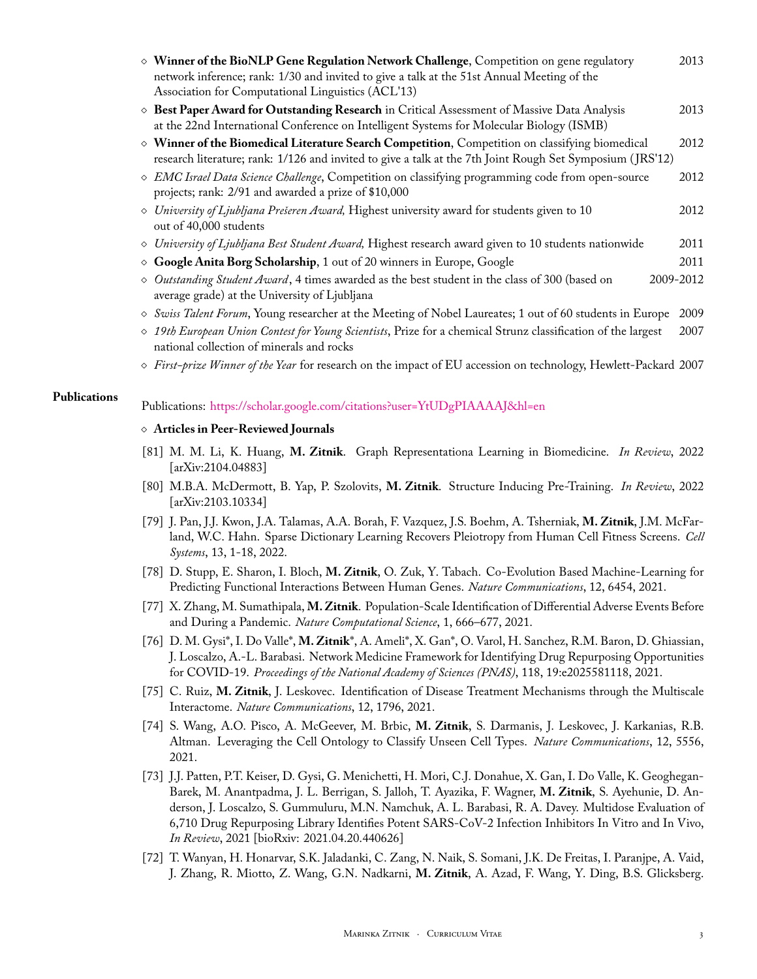| $\diamond$ Winner of the BioNLP Gene Regulation Network Challenge, Competition on gene regulatory<br>network inference; rank: 1/30 and invited to give a talk at the 51st Annual Meeting of the<br>Association for Computational Linguistics (ACL'13) | 2013      |
|-------------------------------------------------------------------------------------------------------------------------------------------------------------------------------------------------------------------------------------------------------|-----------|
| ◇ Best Paper Award for Outstanding Research in Critical Assessment of Massive Data Analysis<br>at the 22nd International Conference on Intelligent Systems for Molecular Biology (ISMB)                                                               | 2013      |
| ◇ Winner of the Biomedical Literature Search Competition, Competition on classifying biomedical<br>research literature; rank: 1/126 and invited to give a talk at the 7th Joint Rough Set Symposium (JRS'12)                                          | 2012      |
| ◇ EMC Israel Data Science Challenge, Competition on classifying programming code from open-source<br>projects; rank: 2/91 and awarded a prize of \$10,000                                                                                             | 2012      |
| $\Diamond$ University of Ljubljana Prešeren Award, Highest university award for students given to 10<br>out of 40,000 students                                                                                                                        | 2012      |
| ◇ University of Ljubljana Best Student Award, Highest research award given to 10 students nationwide                                                                                                                                                  | 2011      |
| ◇ Google Anita Borg Scholarship, 1 out of 20 winners in Europe, Google                                                                                                                                                                                | 2011      |
| ◇ Outstanding Student Award, 4 times awarded as the best student in the class of 300 (based on<br>average grade) at the University of Ljubljana                                                                                                       | 2009-2012 |
| ◇ Swiss Talent Forum, Young researcher at the Meeting of Nobel Laureates; 1 out of 60 students in Europe                                                                                                                                              | 2009      |
| ◇ 19th European Union Contest for Young Scientists, Prize for a chemical Strunz classification of the largest<br>national collection of minerals and rocks                                                                                            | 2007      |
| ◇ First-prize Winner of the Year for research on the impact of EU accession on technology, Hewlett-Packard 2007                                                                                                                                       |           |

## **Publications** Publications: <https://scholar.google.com/citations?user=YtUDgPIAAAAJ&hl=en>

#### ⋄ **Articles in Peer-Reviewed Journals**

- [81] M. M. Li, K. Huang, **M. Zitnik**. Graph Representationa Learning in Biomedicine. *In Review*, 2022 [arXiv:2104.04883]
- [80] M.B.A. McDermott, B. Yap, P. Szolovits, **M. Zitnik**. Structure Inducing Pre-Training. *In Review*, 2022 [arXiv:2103.10334]
- [79] J. Pan, J.J. Kwon, J.A. Talamas, A.A. Borah, F. Vazquez, J.S. Boehm, A. Tsherniak, **M. Zitnik**, J.M. McFarland, W.C. Hahn. Sparse Dictionary Learning Recovers Pleiotropy from Human Cell Fitness Screens. *Cell Systems*, 13, 1-18, 2022.
- [78] D. Stupp, E. Sharon, I. Bloch, **M. Zitnik**, O. Zuk, Y. Tabach. Co-Evolution Based Machine-Learning for Predicting Functional Interactions Between Human Genes. *Nature Communications*, 12, 6454, 2021.
- [77] X. Zhang, M. Sumathipala, **M. Zitnik**. Population-Scale Identification of Differential Adverse Events Before and During a Pandemic. *Nature Computational Science*, 1, 666–677, 2021.
- [76] D. M. Gysi\*, I. Do Valle\*, **M. Zitnik**\*, A. Ameli\*, X. Gan\*, O. Varol, H. Sanchez, R.M. Baron, D. Ghiassian, J. Loscalzo, A.-L. Barabasi. Network Medicine Framework for Identifying Drug Repurposing Opportunities for COVID-19. *Proceedings of the National Academy of Sciences (PNAS)*, 118, 19:e2025581118, 2021.
- [75] C. Ruiz, **M. Zitnik**, J. Leskovec. Identification of Disease Treatment Mechanisms through the Multiscale Interactome. *Nature Communications*, 12, 1796, 2021.
- [74] S. Wang, A.O. Pisco, A. McGeever, M. Brbic, **M. Zitnik**, S. Darmanis, J. Leskovec, J. Karkanias, R.B. Altman. Leveraging the Cell Ontology to Classify Unseen Cell Types. *Nature Communications*, 12, 5556, 2021.
- [73] J.J. Patten, P.T. Keiser, D. Gysi, G. Menichetti, H. Mori, C.J. Donahue, X. Gan, I. Do Valle, K. Geoghegan-Barek, M. Anantpadma, J. L. Berrigan, S. Jalloh, T. Ayazika, F. Wagner, **M. Zitnik**, S. Ayehunie, D. Anderson, J. Loscalzo, S. Gummuluru, M.N. Namchuk, A. L. Barabasi, R. A. Davey. Multidose Evaluation of 6,710 Drug Repurposing Library Identifies Potent SARS-CoV-2 Infection Inhibitors In Vitro and In Vivo, *In Review*, 2021 [bioRxiv: 2021.04.20.440626]
- [72] T. Wanyan, H. Honarvar, S.K. Jaladanki, C. Zang, N. Naik, S. Somani, J.K. De Freitas, I. Paranjpe, A. Vaid, J. Zhang, R. Miotto, Z. Wang, G.N. Nadkarni, **M. Zitnik**, A. Azad, F. Wang, Y. Ding, B.S. Glicksberg.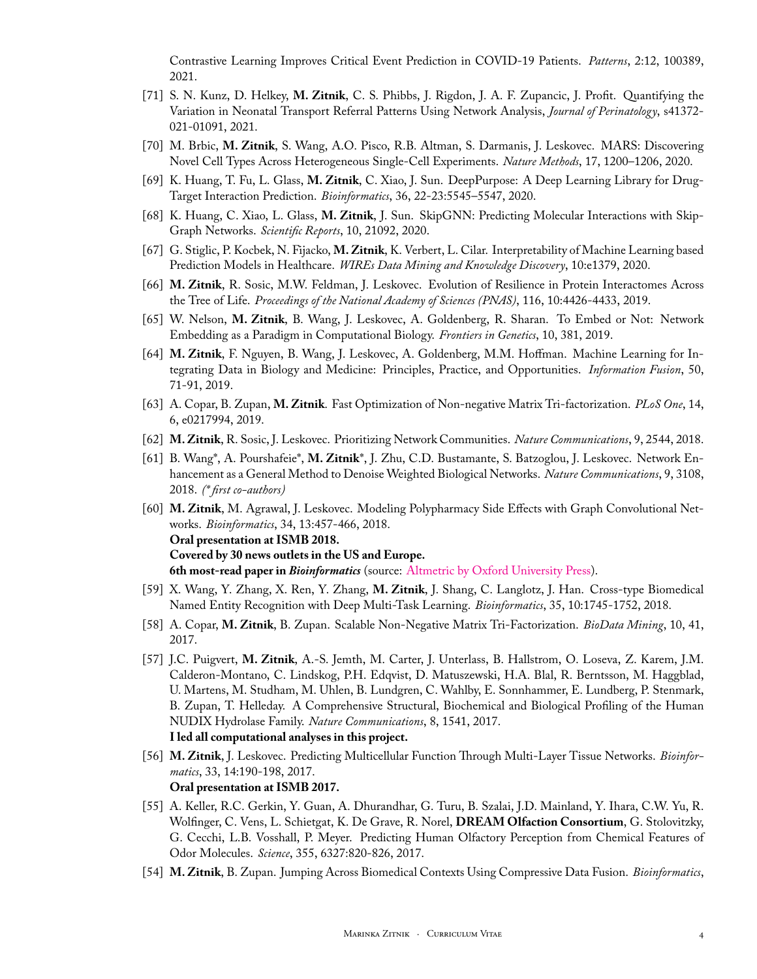Contrastive Learning Improves Critical Event Prediction in COVID-19 Patients. *Patterns*, 2:12, 100389, 2021.

- [71] S. N. Kunz, D. Helkey, **M. Zitnik**, C. S. Phibbs, J. Rigdon, J. A. F. Zupancic, J. Profit. Quantifying the Variation in Neonatal Transport Referral Patterns Using Network Analysis, *Journal of Perinatology*, s41372- 021-01091, 2021.
- [70] M. Brbic, **M. Zitnik**, S. Wang, A.O. Pisco, R.B. Altman, S. Darmanis, J. Leskovec. MARS: Discovering Novel Cell Types Across Heterogeneous Single-Cell Experiments. *Nature Methods*, 17, 1200–1206, 2020.
- [69] K. Huang, T. Fu, L. Glass, **M. Zitnik**, C. Xiao, J. Sun. DeepPurpose: A Deep Learning Library for Drug-Target Interaction Prediction. *Bioinformatics*, 36, 22-23:5545–5547, 2020.
- [68] K. Huang, C. Xiao, L. Glass, **M. Zitnik**, J. Sun. SkipGNN: Predicting Molecular Interactions with Skip-Graph Networks. *Scientific Reports*, 10, 21092, 2020.
- [67] G. Stiglic, P. Kocbek, N. Fijacko, **M. Zitnik**, K. Verbert, L. Cilar. Interpretability of Machine Learning based Prediction Models in Healthcare. *WIREs Data Mining and Knowledge Discovery*, 10:e1379, 2020.
- [66] **M. Zitnik**, R. Sosic, M.W. Feldman, J. Leskovec. Evolution of Resilience in Protein Interactomes Across the Tree of Life. *Proceedings of the National Academy of Sciences (PNAS)*, 116, 10:4426-4433, 2019.
- [65] W. Nelson, **M. Zitnik**, B. Wang, J. Leskovec, A. Goldenberg, R. Sharan. To Embed or Not: Network Embedding as a Paradigm in Computational Biology. *Frontiers in Genetics*, 10, 381, 2019.
- [64] **M. Zitnik**, F. Nguyen, B. Wang, J. Leskovec, A. Goldenberg, M.M. Hoffman. Machine Learning for Integrating Data in Biology and Medicine: Principles, Practice, and Opportunities. *Information Fusion*, 50, 71-91, 2019.
- [63] A. Copar, B. Zupan, **M. Zitnik**. Fast Optimization of Non-negative Matrix Tri-factorization. *PLoS One*, 14, 6, e0217994, 2019.
- [62] **M. Zitnik**, R. Sosic, J. Leskovec. Prioritizing Network Communities. *Nature Communications*, 9, 2544, 2018.
- [61] B. Wang\*, A. Pourshafeie\*, **M. Zitnik**\*, J. Zhu, C.D. Bustamante, S. Batzoglou, J. Leskovec. Network Enhancement as a General Method to Denoise Weighted Biological Networks. *Nature Communications*, 9, 3108, 2018. *(\* first co-authors)*
- [60] **M. Zitnik**, M. Agrawal, J. Leskovec. Modeling Polypharmacy Side Effects with Graph Convolutional Networks. *Bioinformatics*, 34, 13:457-466, 2018. **Oral presentation at ISMB 2018. Covered by 30 news outlets in the US and Europe. 6th most-read paper in** *Bioinformatics* (source: [Altmetric by Oxford University Press](https://oxfordjournals.altmetric.com/details/44210483)).
- [59] X. Wang, Y. Zhang, X. Ren, Y. Zhang, **M. Zitnik**, J. Shang, C. Langlotz, J. Han. Cross-type Biomedical Named Entity Recognition with Deep Multi-Task Learning. *Bioinformatics*, 35, 10:1745-1752, 2018.
- [58] A. Copar, **M. Zitnik**, B. Zupan. Scalable Non-Negative Matrix Tri-Factorization. *BioData Mining*, 10, 41, 2017.
- [57] J.C. Puigvert, **M. Zitnik**, A.-S. Jemth, M. Carter, J. Unterlass, B. Hallstrom, O. Loseva, Z. Karem, J.M. Calderon-Montano, C. Lindskog, P.H. Edqvist, D. Matuszewski, H.A. Blal, R. Berntsson, M. Haggblad, U. Martens, M. Studham, M. Uhlen, B. Lundgren, C. Wahlby, E. Sonnhammer, E. Lundberg, P. Stenmark, B. Zupan, T. Helleday. A Comprehensive Structural, Biochemical and Biological Profiling of the Human NUDIX Hydrolase Family. *Nature Communications*, 8, 1541, 2017. **I led all computational analyses in this project.**
- [56] **M. Zitnik**, J. Leskovec. Predicting Multicellular Function Through Multi-Layer Tissue Networks. *Bioinformatics*, 33, 14:190-198, 2017. **Oral presentation at ISMB 2017.**
- [55] A. Keller, R.C. Gerkin, Y. Guan, A. Dhurandhar, G. Turu, B. Szalai, J.D. Mainland, Y. Ihara, C.W. Yu, R. Wolfinger, C. Vens, L. Schietgat, K. De Grave, R. Norel, **DREAM Olfaction Consortium**, G. Stolovitzky, G. Cecchi, L.B. Vosshall, P. Meyer. Predicting Human Olfactory Perception from Chemical Features of Odor Molecules. *Science*, 355, 6327:820-826, 2017.
- [54] **M. Zitnik**, B. Zupan. Jumping Across Biomedical Contexts Using Compressive Data Fusion. *Bioinformatics*,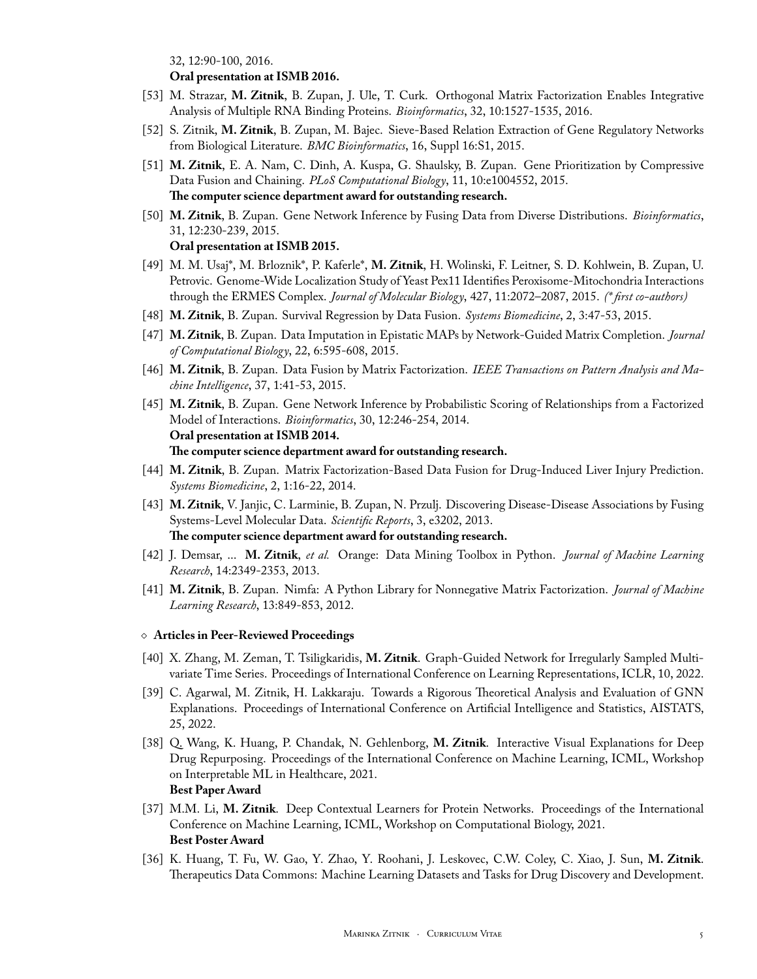32, 12:90-100, 2016.

#### **Oral presentation at ISMB 2016.**

- [53] M. Strazar, **M. Zitnik**, B. Zupan, J. Ule, T. Curk. Orthogonal Matrix Factorization Enables Integrative Analysis of Multiple RNA Binding Proteins. *Bioinformatics*, 32, 10:1527-1535, 2016.
- [52] S. Zitnik, **M. Zitnik**, B. Zupan, M. Bajec. Sieve-Based Relation Extraction of Gene Regulatory Networks from Biological Literature. *BMC Bioinformatics*, 16, Suppl 16:S1, 2015.
- [51] **M. Zitnik**, E. A. Nam, C. Dinh, A. Kuspa, G. Shaulsky, B. Zupan. Gene Prioritization by Compressive Data Fusion and Chaining. *PLoS Computational Biology*, 11, 10:e1004552, 2015. **The computer science department award for outstanding research.**
- [50] **M. Zitnik**, B. Zupan. Gene Network Inference by Fusing Data from Diverse Distributions. *Bioinformatics*, 31, 12:230-239, 2015.

#### **Oral presentation at ISMB 2015.**

- [49] M. M. Usaj\*, M. Brloznik\*, P. Kaferle\*, **M. Zitnik**, H. Wolinski, F. Leitner, S. D. Kohlwein, B. Zupan, U. Petrovic. Genome-Wide Localization Study of Yeast Pex11 Identifies Peroxisome-Mitochondria Interactions through the ERMES Complex. *Journal of Molecular Biology*, 427, 11:2072–2087, 2015. *(\* first co-authors)*
- [48] **M. Zitnik**, B. Zupan. Survival Regression by Data Fusion. *Systems Biomedicine*, 2, 3:47-53, 2015.
- [47] **M. Zitnik**, B. Zupan. Data Imputation in Epistatic MAPs by Network-Guided Matrix Completion. *Journal of Computational Biology*, 22, 6:595-608, 2015.
- [46] **M. Zitnik**, B. Zupan. Data Fusion by Matrix Factorization. *IEEE Transactions on Pattern Analysis and Machine Intelligence*, 37, 1:41-53, 2015.
- [45] **M. Zitnik**, B. Zupan. Gene Network Inference by Probabilistic Scoring of Relationships from a Factorized Model of Interactions. *Bioinformatics*, 30, 12:246-254, 2014. **Oral presentation at ISMB 2014. The computer science department award for outstanding research.**
- [44] **M. Zitnik**, B. Zupan. Matrix Factorization-Based Data Fusion for Drug-Induced Liver Injury Prediction. *Systems Biomedicine*, 2, 1:16-22, 2014.
- [43] **M. Zitnik**, V. Janjic, C. Larminie, B. Zupan, N. Przulj. Discovering Disease-Disease Associations by Fusing Systems-Level Molecular Data. *Scientific Reports*, 3, e3202, 2013. **The computer science department award for outstanding research.**
- [42] J. Demsar, ... **M. Zitnik**, *et al.* Orange: Data Mining Toolbox in Python. *Journal of Machine Learning Research*, 14:2349-2353, 2013.
- [41] **M. Zitnik**, B. Zupan. Nimfa: A Python Library for Nonnegative Matrix Factorization. *Journal of Machine Learning Research*, 13:849-853, 2012.

#### ⋄ **Articles in Peer-Reviewed Proceedings**

- [40] X. Zhang, M. Zeman, T. Tsiligkaridis, **M. Zitnik**. Graph-Guided Network for Irregularly Sampled Multivariate Time Series. Proceedings of International Conference on Learning Representations, ICLR, 10, 2022.
- [39] C. Agarwal, M. Zitnik, H. Lakkaraju. Towards a Rigorous Theoretical Analysis and Evaluation of GNN Explanations. Proceedings of International Conference on Artificial Intelligence and Statistics, AISTATS, 25, 2022.
- [38] Q. Wang, K. Huang, P. Chandak, N. Gehlenborg, **M. Zitnik**. Interactive Visual Explanations for Deep Drug Repurposing. Proceedings of the International Conference on Machine Learning, ICML, Workshop on Interpretable ML in Healthcare, 2021. **Best Paper Award**
- [37] M.M. Li, **M. Zitnik**. Deep Contextual Learners for Protein Networks. Proceedings of the International Conference on Machine Learning, ICML, Workshop on Computational Biology, 2021. **Best Poster Award**
- [36] K. Huang, T. Fu, W. Gao, Y. Zhao, Y. Roohani, J. Leskovec, C.W. Coley, C. Xiao, J. Sun, **M. Zitnik**. Therapeutics Data Commons: Machine Learning Datasets and Tasks for Drug Discovery and Development.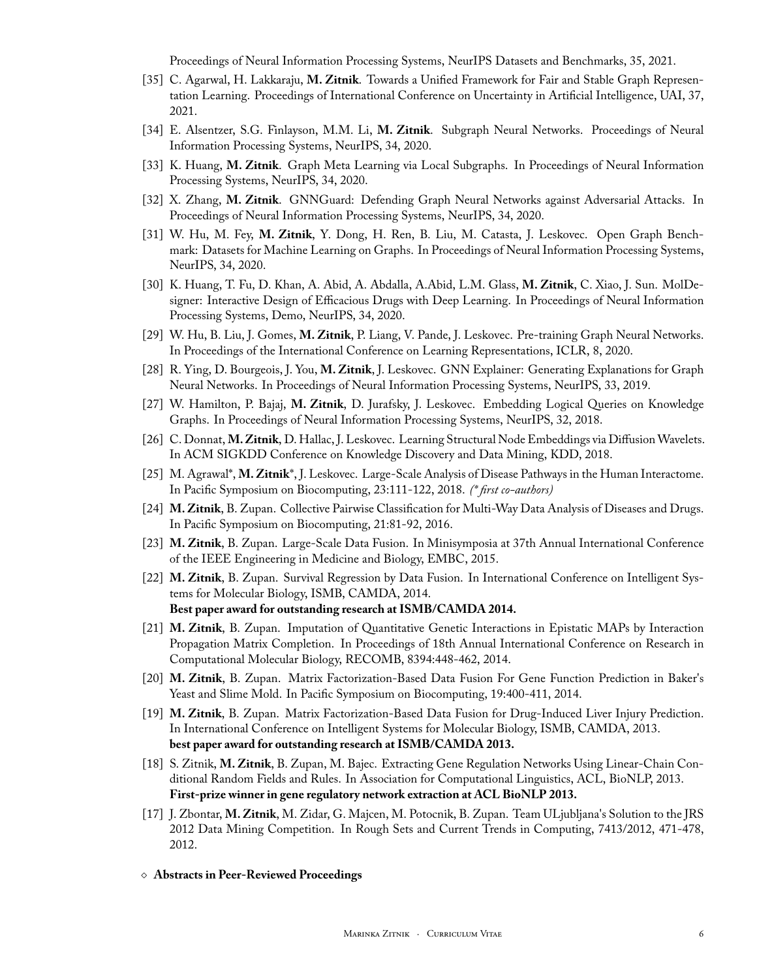Proceedings of Neural Information Processing Systems, NeurIPS Datasets and Benchmarks, 35, 2021.

- [35] C. Agarwal, H. Lakkaraju, **M. Zitnik**. Towards a Unified Framework for Fair and Stable Graph Representation Learning. Proceedings of International Conference on Uncertainty in Artificial Intelligence, UAI, 37, 2021.
- [34] E. Alsentzer, S.G. Finlayson, M.M. Li, **M. Zitnik**. Subgraph Neural Networks. Proceedings of Neural Information Processing Systems, NeurIPS, 34, 2020.
- [33] K. Huang, **M. Zitnik**. Graph Meta Learning via Local Subgraphs. In Proceedings of Neural Information Processing Systems, NeurIPS, 34, 2020.
- [32] X. Zhang, **M. Zitnik**. GNNGuard: Defending Graph Neural Networks against Adversarial Attacks. In Proceedings of Neural Information Processing Systems, NeurIPS, 34, 2020.
- [31] W. Hu, M. Fey, **M. Zitnik**, Y. Dong, H. Ren, B. Liu, M. Catasta, J. Leskovec. Open Graph Benchmark: Datasets for Machine Learning on Graphs. In Proceedings of Neural Information Processing Systems, NeurIPS, 34, 2020.
- [30] K. Huang, T. Fu, D. Khan, A. Abid, A. Abdalla, A.Abid, L.M. Glass, **M. Zitnik**, C. Xiao, J. Sun. MolDesigner: Interactive Design of Efficacious Drugs with Deep Learning. In Proceedings of Neural Information Processing Systems, Demo, NeurIPS, 34, 2020.
- [29] W. Hu, B. Liu, J. Gomes, **M. Zitnik**, P. Liang, V. Pande, J. Leskovec. Pre-training Graph Neural Networks. In Proceedings of the International Conference on Learning Representations, ICLR, 8, 2020.
- [28] R. Ying, D. Bourgeois, J. You, **M. Zitnik**, J. Leskovec. GNN Explainer: Generating Explanations for Graph Neural Networks. In Proceedings of Neural Information Processing Systems, NeurIPS, 33, 2019.
- [27] W. Hamilton, P. Bajaj, **M. Zitnik**, D. Jurafsky, J. Leskovec. Embedding Logical Queries on Knowledge Graphs. In Proceedings of Neural Information Processing Systems, NeurIPS, 32, 2018.
- [26] C. Donnat, **M. Zitnik**, D. Hallac, J. Leskovec. Learning Structural Node Embeddings via DiffusionWavelets. In ACM SIGKDD Conference on Knowledge Discovery and Data Mining, KDD, 2018.
- [25] M. Agrawal\*, **M. Zitnik**\*, J. Leskovec. Large-Scale Analysis of Disease Pathways in the Human Interactome. In Pacific Symposium on Biocomputing, 23:111-122, 2018. *(\* first co-authors)*
- [24] **M. Zitnik**, B. Zupan. Collective Pairwise Classification for Multi-Way Data Analysis of Diseases and Drugs. In Pacific Symposium on Biocomputing, 21:81-92, 2016.
- [23] **M. Zitnik**, B. Zupan. Large-Scale Data Fusion. In Minisymposia at 37th Annual International Conference of the IEEE Engineering in Medicine and Biology, EMBC, 2015.
- [22] **M. Zitnik**, B. Zupan. Survival Regression by Data Fusion. In International Conference on Intelligent Systems for Molecular Biology, ISMB, CAMDA, 2014. **Best paper award for outstanding research at ISMB/CAMDA 2014.**
- [21] **M. Zitnik**, B. Zupan. Imputation of Quantitative Genetic Interactions in Epistatic MAPs by Interaction Propagation Matrix Completion. In Proceedings of 18th Annual International Conference on Research in Computational Molecular Biology, RECOMB, 8394:448-462, 2014.
- [20] **M. Zitnik**, B. Zupan. Matrix Factorization-Based Data Fusion For Gene Function Prediction in Baker's Yeast and Slime Mold. In Pacific Symposium on Biocomputing, 19:400-411, 2014.
- [19] **M. Zitnik**, B. Zupan. Matrix Factorization-Based Data Fusion for Drug-Induced Liver Injury Prediction. In International Conference on Intelligent Systems for Molecular Biology, ISMB, CAMDA, 2013. **best paper award for outstanding research at ISMB/CAMDA 2013.**
- [18] S. Zitnik, **M. Zitnik**, B. Zupan, M. Bajec. Extracting Gene Regulation Networks Using Linear-Chain Conditional Random Fields and Rules. In Association for Computational Linguistics, ACL, BioNLP, 2013. **First-prize winner in gene regulatory network extraction at ACL BioNLP 2013.**
- [17] J. Zbontar, **M. Zitnik**, M. Zidar, G. Majcen, M. Potocnik, B. Zupan. Team ULjubljana's Solution to the JRS 2012 Data Mining Competition. In Rough Sets and Current Trends in Computing, 7413/2012, 471-478, 2012.
- ⋄ **Abstracts in Peer-Reviewed Proceedings**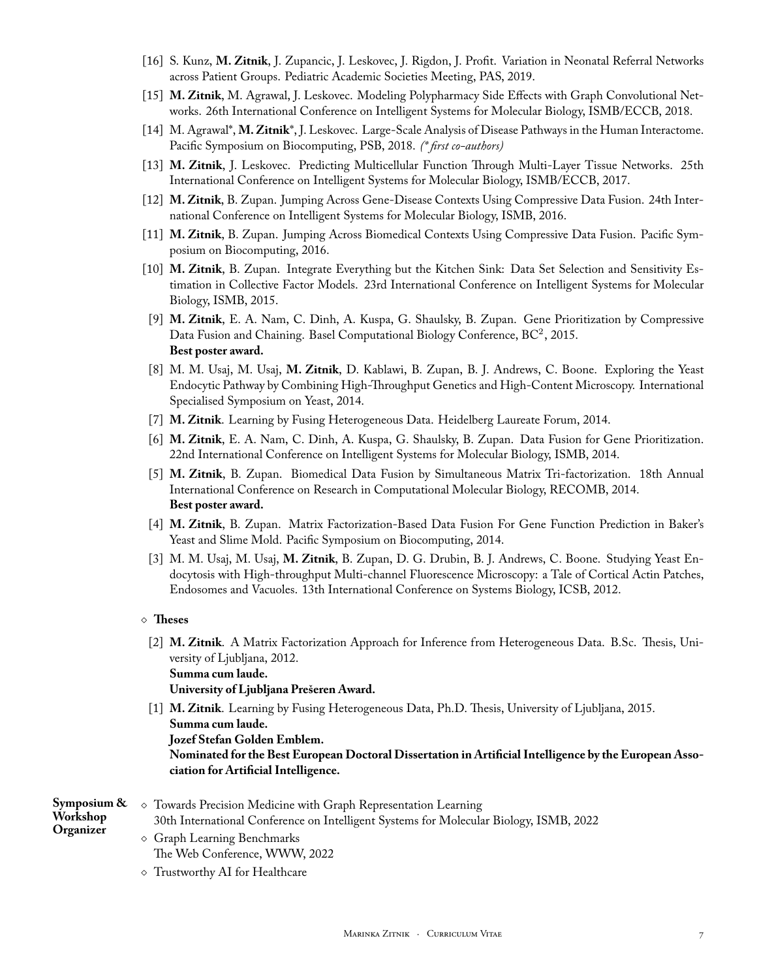- [16] S. Kunz, **M. Zitnik**, J. Zupancic, J. Leskovec, J. Rigdon, J. Profit. Variation in Neonatal Referral Networks across Patient Groups. Pediatric Academic Societies Meeting, PAS, 2019.
- [15] **M. Zitnik**, M. Agrawal, J. Leskovec. Modeling Polypharmacy Side Effects with Graph Convolutional Networks. 26th International Conference on Intelligent Systems for Molecular Biology, ISMB/ECCB, 2018.
- [14] M. Agrawal\*, **M. Zitnik**\*, J. Leskovec. Large-Scale Analysis of Disease Pathways in the Human Interactome. Pacific Symposium on Biocomputing, PSB, 2018. *(\* first co-authors)*
- [13] **M. Zitnik**, J. Leskovec. Predicting Multicellular Function Through Multi-Layer Tissue Networks. 25th International Conference on Intelligent Systems for Molecular Biology, ISMB/ECCB, 2017.
- [12] **M. Zitnik**, B. Zupan. Jumping Across Gene-Disease Contexts Using Compressive Data Fusion. 24th International Conference on Intelligent Systems for Molecular Biology, ISMB, 2016.
- [11] **M. Zitnik**, B. Zupan. Jumping Across Biomedical Contexts Using Compressive Data Fusion. Pacific Symposium on Biocomputing, 2016.
- [10] **M. Zitnik**, B. Zupan. Integrate Everything but the Kitchen Sink: Data Set Selection and Sensitivity Estimation in Collective Factor Models. 23rd International Conference on Intelligent Systems for Molecular Biology, ISMB, 2015.
- [9] **M. Zitnik**, E. A. Nam, C. Dinh, A. Kuspa, G. Shaulsky, B. Zupan. Gene Prioritization by Compressive Data Fusion and Chaining. Basel Computational Biology Conference, BC<sup>2</sup>, 2015. **Best poster award.**
- [8] M. M. Usaj, M. Usaj, **M. Zitnik**, D. Kablawi, B. Zupan, B. J. Andrews, C. Boone. Exploring the Yeast Endocytic Pathway by Combining High-Throughput Genetics and High-Content Microscopy. International Specialised Symposium on Yeast, 2014.
- [7] **M. Zitnik**. Learning by Fusing Heterogeneous Data. Heidelberg Laureate Forum, 2014.
- [6] **M. Zitnik**, E. A. Nam, C. Dinh, A. Kuspa, G. Shaulsky, B. Zupan. Data Fusion for Gene Prioritization. 22nd International Conference on Intelligent Systems for Molecular Biology, ISMB, 2014.
- [5] **M. Zitnik**, B. Zupan. Biomedical Data Fusion by Simultaneous Matrix Tri-factorization. 18th Annual International Conference on Research in Computational Molecular Biology, RECOMB, 2014. **Best poster award.**
- [4] **M. Zitnik**, B. Zupan. Matrix Factorization-Based Data Fusion For Gene Function Prediction in Baker's Yeast and Slime Mold. Pacific Symposium on Biocomputing, 2014.
- [3] M. M. Usaj, M. Usaj, **M. Zitnik**, B. Zupan, D. G. Drubin, B. J. Andrews, C. Boone. Studying Yeast Endocytosis with High-throughput Multi-channel Fluorescence Microscopy: a Tale of Cortical Actin Patches, Endosomes and Vacuoles. 13th International Conference on Systems Biology, ICSB, 2012.

#### ⋄ **Theses**

[2] **M. Zitnik**. A Matrix Factorization Approach for Inference from Heterogeneous Data. B.Sc. Thesis, University of Ljubljana, 2012. **Summa cum laude.**

**University of Ljubljana Prešeren Award.**

[1] **M. Zitnik**. Learning by Fusing Heterogeneous Data, Ph.D. Thesis, University of Ljubljana, 2015. **Summa cum laude. Jozef Stefan Golden Emblem. Nominated for the Best European Doctoral Dissertation in Artificial Intelligence by the European Association for Artificial Intelligence.**

| Symposium & | Towards Precision Medicine with Graph Representation Learning                          |  |  |  |  |  |
|-------------|----------------------------------------------------------------------------------------|--|--|--|--|--|
| Workshop    | 30th International Conference on Intelligent Systems for Molecular Biology, ISMB, 2022 |  |  |  |  |  |
| Organizer   | $\Diamond$ Graph Learning Benchmarks<br>The Web Conference, WWW, 2022                  |  |  |  |  |  |

⋄ Trustworthy AI for Healthcare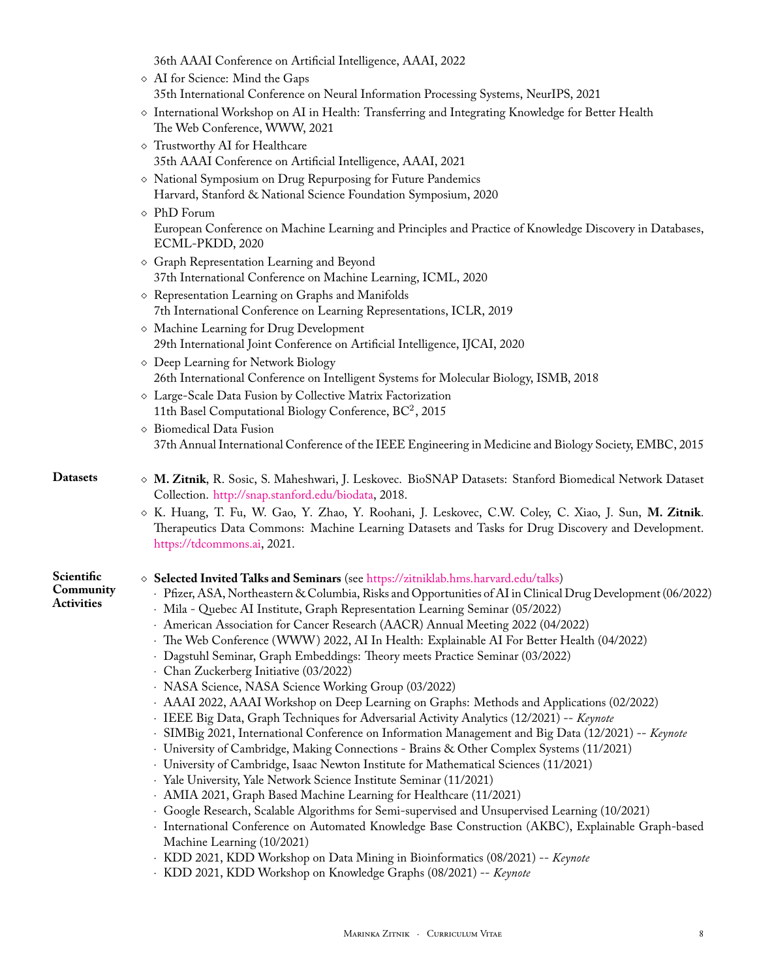| 36th AAAI Conference on Artificial Intelligence, AAAI, 2022 |  |  |
|-------------------------------------------------------------|--|--|
|-------------------------------------------------------------|--|--|

|  |  | $\diamond$ AI for Science: Mind the Gaps |  |  |  |                                                                                       |  |  |  |  |
|--|--|------------------------------------------|--|--|--|---------------------------------------------------------------------------------------|--|--|--|--|
|  |  |                                          |  |  |  | 35th International Conference on Neural Information Processing Systems, NeurIPS, 2021 |  |  |  |  |
|  |  |                                          |  |  |  | $\sigma$ . It is in it and                                                            |  |  |  |  |

- ⋄ International Workshop on AI in Health: Transferring and Integrating Knowledge for Better Health The Web Conference, WWW, 2021
- ⋄ Trustworthy AI for Healthcare 35th AAAI Conference on Artificial Intelligence, AAAI, 2021
- ⋄ National Symposium on Drug Repurposing for Future Pandemics Harvard, Stanford & National Science Foundation Symposium, 2020
- ⋄ PhD Forum European Conference on Machine Learning and Principles and Practice of Knowledge Discovery in Databases, ECML-PKDD, 2020
- ⋄ Graph Representation Learning and Beyond 37th International Conference on Machine Learning, ICML, 2020
- ⋄ Representation Learning on Graphs and Manifolds 7th International Conference on Learning Representations, ICLR, 2019
- ⋄ Machine Learning for Drug Development 29th International Joint Conference on Artificial Intelligence, IJCAI, 2020
- ⋄ Deep Learning for Network Biology 26th International Conference on Intelligent Systems for Molecular Biology, ISMB, 2018
- ⋄ Large-Scale Data Fusion by Collective Matrix Factorization 11th Basel Computational Biology Conference, BC<sup>2</sup>, 2015
- ⋄ Biomedical Data Fusion 37th Annual International Conference of the IEEE Engineering in Medicine and Biology Society, EMBC, 2015

### **Datasets** ⋄ **M. Zitnik**, R. Sosic, S. Maheshwari, J. Leskovec. BioSNAP Datasets: Stanford Biomedical Network Dataset Collection. <http://snap.stanford.edu/biodata>, 2018.

⋄ K. Huang, T. Fu, W. Gao, Y. Zhao, Y. Roohani, J. Leskovec, C.W. Coley, C. Xiao, J. Sun, **M. Zitnik**. Therapeutics Data Commons: Machine Learning Datasets and Tasks for Drug Discovery and Development. <https://tdcommons.ai>, 2021.

| Scientific | $\diamond$ Selected Invited Talks and Seminars (see https://zitniklab.hms.harvard.edu/talks)                 |
|------------|--------------------------------------------------------------------------------------------------------------|
| Community  | · Pfizer, ASA, Northeastern & Columbia, Risks and Opportunities of AI in Clinical Drug Development (06/2022) |
| Activities | · Mila - Quebec AI Institute, Graph Representation Learning Seminar (05/2022)                                |
|            | American Association for Cancer Research (AACR) Annual Meeting 2022 (04/2022)                                |
|            | The Web Conference (WWW) 2022, AI In Health: Explainable AI For Better Health (04/2022)                      |
|            | · Dagstuhl Seminar, Graph Embeddings: Theory meets Practice Seminar (03/2022)                                |
|            | · Chan Zuckerberg Initiative (03/2022)                                                                       |
|            | · NASA Science, NASA Science Working Group (03/2022)                                                         |
|            | AAAI 2022, AAAI Workshop on Deep Learning on Graphs: Methods and Applications (02/2022)                      |
|            | · IEEE Big Data, Graph Techniques for Adversarial Activity Analytics (12/2021) -- Keynote                    |
|            | · SIMBig 2021, International Conference on Information Management and Big Data (12/2021) -- Keynote          |
|            | · University of Cambridge, Making Connections - Brains & Other Complex Systems (11/2021)                     |
|            | · University of Cambridge, Isaac Newton Institute for Mathematical Sciences (11/2021)                        |
|            | · Yale University, Yale Network Science Institute Seminar (11/2021)                                          |
|            | · AMIA 2021, Graph Based Machine Learning for Healthcare (11/2021)                                           |

- ⋅ Google Research, Scalable Algorithms for Semi-supervised and Unsupervised Learning (10/2021)
- ⋅ International Conference on Automated Knowledge Base Construction (AKBC), Explainable Graph-based Machine Learning (10/2021)
- ⋅ KDD 2021, KDD Workshop on Data Mining in Bioinformatics (08/2021) -- *Keynote*
- ⋅ KDD 2021, KDD Workshop on Knowledge Graphs (08/2021) -- *Keynote*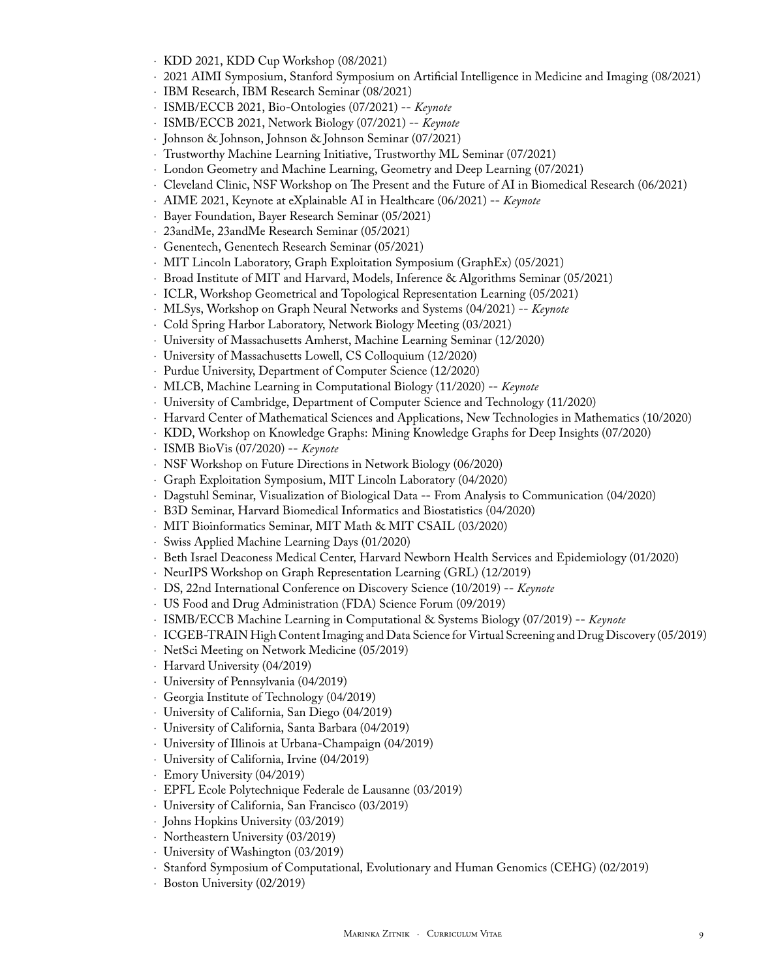- ⋅ KDD 2021, KDD Cup Workshop (08/2021)
- ⋅ 2021 AIMI Symposium, Stanford Symposium on Artificial Intelligence in Medicine and Imaging (08/2021)
	- ⋅ IBM Research, IBM Research Seminar (08/2021)
	- ⋅ ISMB/ECCB 2021, Bio-Ontologies (07/2021) -- *Keynote*
	- ⋅ ISMB/ECCB 2021, Network Biology (07/2021) -- *Keynote*
	- ⋅ Johnson & Johnson, Johnson & Johnson Seminar (07/2021)
	- ⋅ Trustworthy Machine Learning Initiative, Trustworthy ML Seminar (07/2021)
	- ⋅ London Geometry and Machine Learning, Geometry and Deep Learning (07/2021)
	- ⋅ Cleveland Clinic, NSF Workshop on The Present and the Future of AI in Biomedical Research (06/2021)
	- ⋅ AIME 2021, Keynote at eXplainable AI in Healthcare (06/2021) -- *Keynote*
	- ⋅ Bayer Foundation, Bayer Research Seminar (05/2021)
	- ⋅ 23andMe, 23andMe Research Seminar (05/2021)
	- ⋅ Genentech, Genentech Research Seminar (05/2021)
	- ⋅ MIT Lincoln Laboratory, Graph Exploitation Symposium (GraphEx) (05/2021)
	- ⋅ Broad Institute of MIT and Harvard, Models, Inference & Algorithms Seminar (05/2021)
	- ⋅ ICLR, Workshop Geometrical and Topological Representation Learning (05/2021)
	- ⋅ MLSys, Workshop on Graph Neural Networks and Systems (04/2021) -- *Keynote*
	- ⋅ Cold Spring Harbor Laboratory, Network Biology Meeting (03/2021)
	- ⋅ University of Massachusetts Amherst, Machine Learning Seminar (12/2020)
	- ⋅ University of Massachusetts Lowell, CS Colloquium (12/2020)
	- ⋅ Purdue University, Department of Computer Science (12/2020)
	- ⋅ MLCB, Machine Learning in Computational Biology (11/2020) -- *Keynote*
	- ⋅ University of Cambridge, Department of Computer Science and Technology (11/2020)
	- ⋅ Harvard Center of Mathematical Sciences and Applications, New Technologies in Mathematics (10/2020)
	- ⋅ KDD, Workshop on Knowledge Graphs: Mining Knowledge Graphs for Deep Insights (07/2020)
	- ⋅ ISMB BioVis (07/2020) -- *Keynote*
	- ⋅ NSF Workshop on Future Directions in Network Biology (06/2020)
	- ⋅ Graph Exploitation Symposium, MIT Lincoln Laboratory (04/2020)
	- ⋅ Dagstuhl Seminar, Visualization of Biological Data -- From Analysis to Communication (04/2020)
	- ⋅ B3D Seminar, Harvard Biomedical Informatics and Biostatistics (04/2020)
	- ⋅ MIT Bioinformatics Seminar, MIT Math & MIT CSAIL (03/2020)
	- ⋅ Swiss Applied Machine Learning Days (01/2020)
	- ⋅ Beth Israel Deaconess Medical Center, Harvard Newborn Health Services and Epidemiology (01/2020)
	- ⋅ NeurIPS Workshop on Graph Representation Learning (GRL) (12/2019)
	- ⋅ DS, 22nd International Conference on Discovery Science (10/2019) -- *Keynote*
	- ⋅ US Food and Drug Administration (FDA) Science Forum (09/2019)
	- ⋅ ISMB/ECCB Machine Learning in Computational & Systems Biology (07/2019) -- *Keynote*
	- ⋅ ICGEB-TRAIN High Content Imaging and Data Science for Virtual Screening and Drug Discovery (05/2019)
	- ⋅ NetSci Meeting on Network Medicine (05/2019)
	- ⋅ Harvard University (04/2019)
	- ⋅ University of Pennsylvania (04/2019)
	- ⋅ Georgia Institute of Technology (04/2019)
	- ⋅ University of California, San Diego (04/2019)
	- ⋅ University of California, Santa Barbara (04/2019)
	- ⋅ University of Illinois at Urbana-Champaign (04/2019)
	- ⋅ University of California, Irvine (04/2019)
	- ⋅ Emory University (04/2019)
	- ⋅ EPFL Ecole Polytechnique Federale de Lausanne (03/2019)
	- ⋅ University of California, San Francisco (03/2019)
	- ⋅ Johns Hopkins University (03/2019)
	- ⋅ Northeastern University (03/2019)
	- ⋅ University of Washington (03/2019)
	- ⋅ Stanford Symposium of Computational, Evolutionary and Human Genomics (CEHG) (02/2019)
	- ⋅ Boston University (02/2019)